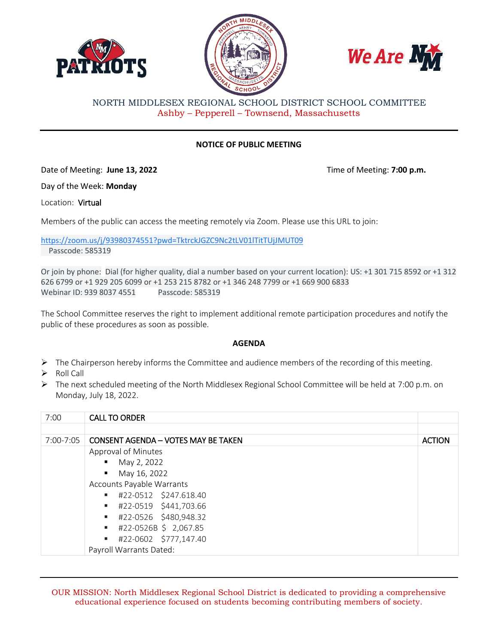





NORTH MIDDLESEX REGIONAL SCHOOL DISTRICT SCHOOL COMMITTEE Ashby – Pepperell – Townsend, Massachusetts

## **NOTICE OF PUBLIC MEETING**

Date of Meeting: **June 13, 2022** Time of Meeting: **7:00 p.m.**

Day of the Week: **Monday**

Location: Virtual

Members of the public can access the meeting remotely via Zoom. Please use this URL to join:

[https://zoom.us/j/93980374551?pwd=TktrckJGZC9Nc2tLV01lTitTUjJMUT09](https://www.google.com/url?q=https://zoom.us/j/93980374551?pwd%3DTktrckJGZC9Nc2tLV01lTitTUjJMUT09&sa=D&source=calendar&ust=1653417246289452&usg=AOvVaw0LQ_p1ub0-VWAyyLzNQACl) Passcode: 585319

Or join by phone: Dial (for higher quality, dial a number based on your current location): US: +1 301 715 8592 or +1 312 626 6799 or +1 929 205 6099 or +1 253 215 8782 or +1 346 248 7799 or +1 669 900 6833 Webinar ID: 939 8037 4551 Passcode: 585319

The School Committee reserves the right to implement additional remote participation procedures and notify the public of these procedures as soon as possible.

## **AGENDA**

- $\triangleright$  The Chairperson hereby informs the Committee and audience members of the recording of this meeting.
- $\triangleright$  Roll Call
- $\triangleright$  The next scheduled meeting of the North Middlesex Regional School Committee will be held at 7:00 p.m. on Monday, July 18, 2022.

| 7:00      | <b>CALL TO ORDER</b>                       |               |
|-----------|--------------------------------------------|---------------|
|           |                                            |               |
| 7:00-7:05 | <b>CONSENT AGENDA - VOTES MAY BE TAKEN</b> | <b>ACTION</b> |
|           | Approval of Minutes                        |               |
|           | $-May 2, 2022$                             |               |
|           | $\blacksquare$ May 16, 2022                |               |
|           | Accounts Payable Warrants                  |               |
|           | #22-0512 \$247.618.40                      |               |
|           | #22-0519 \$441,703.66                      |               |
|           | #22-0526 \$480,948.32                      |               |
|           | $\blacksquare$ #22-0526B \$ 2,067.85       |               |
|           | #22-0602 \$777,147.40                      |               |
|           | Payroll Warrants Dated:                    |               |

OUR MISSION: North Middlesex Regional School District is dedicated to providing a comprehensive educational experience focused on students becoming contributing members of society.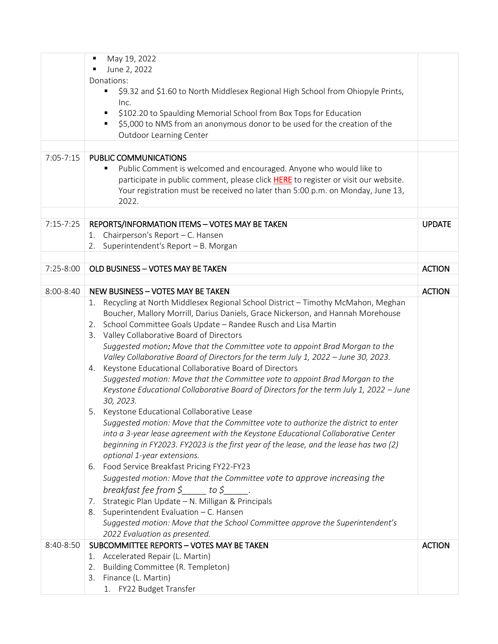|               | May 19, 2022<br>$\blacksquare$                                                                                                                                            |               |
|---------------|---------------------------------------------------------------------------------------------------------------------------------------------------------------------------|---------------|
|               | June 2, 2022                                                                                                                                                              |               |
|               | Donations:                                                                                                                                                                |               |
|               | \$9.32 and \$1.60 to North Middlesex Regional High School from Ohiopyle Prints,<br>٠                                                                                      |               |
|               | Inc.                                                                                                                                                                      |               |
|               | \$102.20 to Spaulding Memorial School from Box Tops for Education                                                                                                         |               |
|               | \$5,000 to NMS from an anonymous donor to be used for the creation of the                                                                                                 |               |
|               | <b>Outdoor Learning Center</b>                                                                                                                                            |               |
|               |                                                                                                                                                                           |               |
| $7:05 - 7:15$ | PUBLIC COMMUNICATIONS                                                                                                                                                     |               |
|               | Public Comment is welcomed and encouraged. Anyone who would like to<br>٠                                                                                                  |               |
|               | participate in public comment, please click HERE to register or visit our website.<br>Your registration must be received no later than 5:00 p.m. on Monday, June 13,      |               |
|               | 2022.                                                                                                                                                                     |               |
|               |                                                                                                                                                                           |               |
| $7:15 - 7:25$ | REPORTS/INFORMATION ITEMS - VOTES MAY BE TAKEN                                                                                                                            | <b>UPDATE</b> |
|               | Chairperson's Report - C. Hansen<br>1.                                                                                                                                    |               |
|               | Superintendent's Report - B. Morgan<br>2.                                                                                                                                 |               |
|               |                                                                                                                                                                           |               |
| $7:25-8:00$   | OLD BUSINESS - VOTES MAY BE TAKEN                                                                                                                                         | <b>ACTION</b> |
|               |                                                                                                                                                                           |               |
| 8:00-8:40     | <b>NEW BUSINESS - VOTES MAY BE TAKEN</b>                                                                                                                                  | <b>ACTION</b> |
|               | Recycling at North Middlesex Regional School District - Timothy McMahon, Meghan<br>1.                                                                                     |               |
|               | Boucher, Mallory Morrill, Darius Daniels, Grace Nickerson, and Hannah Morehouse                                                                                           |               |
|               | School Committee Goals Update - Randee Rusch and Lisa Martin<br>2.                                                                                                        |               |
|               | 3. Valley Collaborative Board of Directors                                                                                                                                |               |
|               | Suggested motion: Move that the Committee vote to appoint Brad Morgan to the                                                                                              |               |
|               | Valley Collaborative Board of Directors for the term July 1, 2022 - June 30, 2023.                                                                                        |               |
|               | 4. Keystone Educational Collaborative Board of Directors                                                                                                                  |               |
|               | Suggested motion: Move that the Committee vote to appoint Brad Morgan to the                                                                                              |               |
|               | Keystone Educational Collaborative Board of Directors for the term July 1, 2022 - June                                                                                    |               |
|               | 30, 2023.                                                                                                                                                                 |               |
|               | 5. Keystone Educational Collaborative Lease                                                                                                                               |               |
|               | Suggested motion: Move that the Committee vote to authorize the district to enter                                                                                         |               |
|               | into a 3-year lease agreement with the Keystone Educational Collaborative Center<br>beginning in FY2023. FY2023 is the first year of the lease, and the lease has two (2) |               |
|               | optional 1-year extensions.                                                                                                                                               |               |
|               | Food Service Breakfast Pricing FY22-FY23<br>6.                                                                                                                            |               |
|               | Suggested motion: Move that the Committee vote to approve increasing the                                                                                                  |               |
|               | breakfast fee from $\zeta$ to $\zeta$                                                                                                                                     |               |
|               | 7. Strategic Plan Update - N. Milligan & Principals                                                                                                                       |               |
|               | 8. Superintendent Evaluation - C. Hansen                                                                                                                                  |               |
|               | Suggested motion: Move that the School Committee approve the Superintendent's                                                                                             |               |
|               | 2022 Evaluation as presented.                                                                                                                                             |               |
| 8:40-8:50     | SUBCOMMITTEE REPORTS - VOTES MAY BE TAKEN                                                                                                                                 | <b>ACTION</b> |
|               | Accelerated Repair (L. Martin)<br>1.                                                                                                                                      |               |
|               | 2. Building Committee (R. Templeton)                                                                                                                                      |               |
|               | 3. Finance (L. Martin)                                                                                                                                                    |               |
|               | 1. FY22 Budget Transfer                                                                                                                                                   |               |